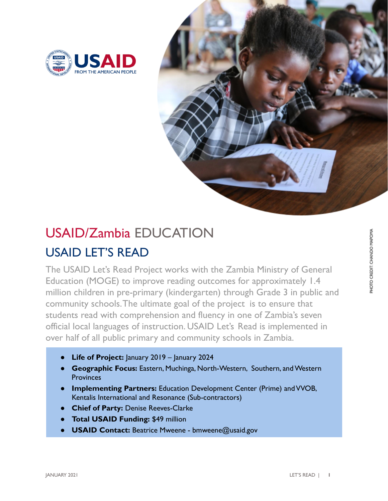



## USAID LET'S READ USAID/Zambia EDUCATION

The USAID Let's Read Project works with the Zambia Ministry of General Education (MOGE) to improve reading outcomes for approximately 1.4 million children in pre-primary (kindergarten) through Grade 3 in public and community schools.The ultimate goal of the project is to ensure that students read with comprehension and fluency in one of Zambia's seven official local languages of instruction. USAID Let's Read is implemented in over half of all public primary and community schools in Zambia.

- **Life of Project:** January 2019 January 2024
- **Geographic Focus:** Eastern, Muchinga, North-Western, Southern, and Western **Provinces**
- **Implementing Partners:** Education Development Center (Prime) and VVOB, Kentalis International and Resonance (Sub-contractors)
- **Chief of Party:** Denise Reeves-Clarke
- **Total USAID Funding: \$49 million**
- **USAID Contact:** Beatrice Mweene bmweene@usaid.gov